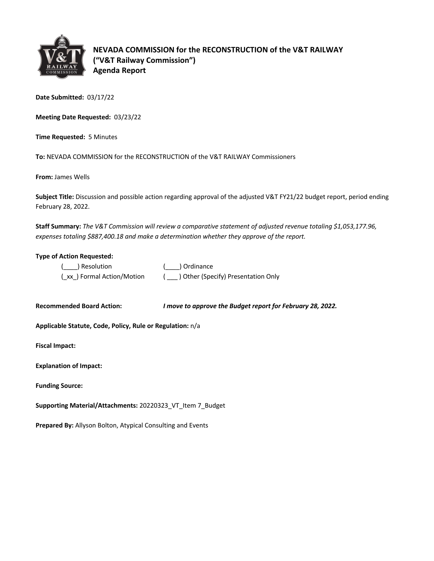

**NEVADA COMMISSION for the RECONSTRUCTION of the V&T RAILWAY ("V&T Railway Commission") Agenda Report**

**Date Submitted:** 03/17/22

**Meeting Date Requested:** 03/23/22

**Time Requested:** 5 Minutes

**To:** NEVADA COMMISSION for the RECONSTRUCTION of the V&T RAILWAY Commissioners

**From:** James Wells

**Subject Title:** Discussion and possible action regarding approval of the adjusted V&T FY21/22 budget report, period ending February 28, 2022.

**Staff Summary:** *The V&T Commission will review a comparative statement of adjusted revenue totaling \$1,053,177.96, expenses totaling \$887,400.18 and make a determination whether they approve of the report.*

## **Type of Action Requested:**

| ( ) Resolution              | ( ) Ordinance                       |
|-----------------------------|-------------------------------------|
| (_xx_) Formal Action/Motion | ) Other (Specify) Presentation Only |

**Recommended Board Action:** *I move to approve the Budget report for February 28, 2022.* 

**Applicable Statute, Code, Policy, Rule or Regulation:** n/a

**Fiscal Impact:**

| <b>Explanation of Impact:</b> |  |
|-------------------------------|--|
|                               |  |

**Funding Source:**

**Supporting Material/Attachments:** 20220323\_VT\_Item 7\_Budget

**Prepared By:** Allyson Bolton, Atypical Consulting and Events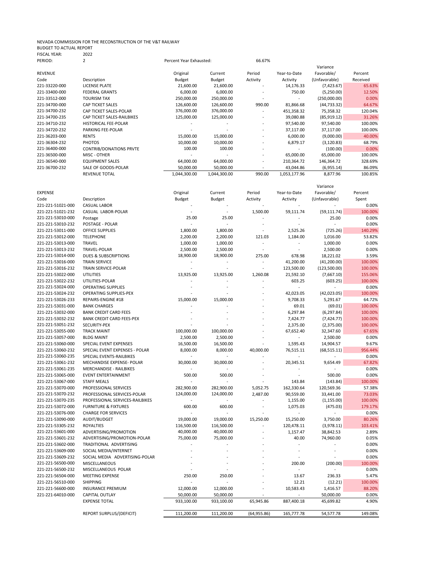## NEVADA COMMISSION FOR THE RECONSTRUCTION OF THE V&T RAILWAY BUDGET TO ACTUAL REPORT FISCAL YEAR: 2022

| PERIOD:        | 2                              | Percent Year Exhausted: |               | 66.67%                   |              |               |          |
|----------------|--------------------------------|-------------------------|---------------|--------------------------|--------------|---------------|----------|
|                |                                |                         |               |                          |              | Variance      |          |
| <b>REVENUE</b> |                                | Original                | Current       | Period                   | Year-to-Date | Favorable/    | Percent  |
| Code           | Description                    | Budget                  | <b>Budget</b> | Activity                 | Activity     | (Unfavorable) | Received |
| 221-33220-000  | LICENSE PLATE                  | 21,600.00               | 21,600.00     |                          | 14,176.33    | (7,423.67)    | 65.63%   |
| 221-33400-000  | <b>FEDERAL GRANTS</b>          | 6,000.00                | 6,000.00      |                          | 750.00       | (5,250.00)    | 12.50%   |
| 221-33512-000  | <b>TOURISM TAX</b>             | 250,000.00              | 250,000.00    | $\overline{\phantom{a}}$ |              | (250,000.00)  | 0.00%    |
| 221-34700-000  | <b>CAP TICKET SALES</b>        | 126,600.00              | 126,600.00    | 990.00                   | 81,866.68    | (44, 733.32)  | 64.67%   |
| 221-34700-232  | CAP TICKET SALES-POLAR         | 376,000.00              | 376,000.00    | $\overline{\phantom{a}}$ | 451,358.32   | 75,358.32     | 120.04%  |
| 221-34700-235  | CAP TICKET SALES-RAILBIKES     | 125,000.00              | 125,000.00    | $\overline{\phantom{a}}$ | 39,080.88    | (85, 919.12)  | 31.26%   |
| 221-34710-232  | <b>HISTORICAL FEE-POLAR</b>    |                         |               | $\overline{\phantom{a}}$ | 97,540.00    | 97,540.00     | 100.00%  |
| 221-34720-232  | PARKING FEE-POLAR              |                         |               | $\overline{\phantom{a}}$ | 37,117.00    | 37,117.00     | 100.00%  |
| 221-36203-000  | <b>RENTS</b>                   | 15,000.00               | 15,000.00     |                          | 6,000.00     | (9,000.00)    | 40.00%   |
| 221-36304-232  | <b>PHOTOS</b>                  | 10,000.00               | 10,000.00     | $\overline{\phantom{a}}$ | 6,879.17     | (3, 120.83)   | 68.79%   |
| 221-36400-000  | <b>CONTRIB/DONATIONS PRVTE</b> | 100.00                  | 100.00        | $\overline{\phantom{a}}$ |              | (100.00)      | 0.00%    |
| 221-36500-000  | MISC - OTHER                   |                         |               | $\overline{\phantom{a}}$ | 65,000.00    | 65,000.00     | 100.00%  |
| 221-36540-000  | <b>EQUIPMENT SALES</b>         | 64,000.00               | 64,000.00     | $\overline{\phantom{a}}$ | 210,364.72   | 146,364.72    | 328.69%  |
| 221-36700-232  | SALE OF GOODS-POLAR            | 50,000.00               | 50,000.00     | $\overline{\phantom{a}}$ | 43,044.86    | (6,955.14)    | 86.09%   |
|                | <b>REVENUE TOTAL</b>           | 1,044,300.00            | 1,044,300.00  | 990.00                   | 1,053,177.96 | 8,877.96      | 100.85%  |

| <b>EXPENSE</b><br>Original<br>Period<br>Year-to-Date<br>Favorable/<br>Current<br>Percent<br>Budget<br>Code<br>Description<br>Budget<br>Activity<br>Activity<br>(Unfavorable)<br>Spent<br>221-221-51021-000<br><b>CASUAL LABOR</b><br>0.00%<br>221-221-51021-232<br>CASUAL LABOR-POLAR<br>1,500.00<br>59,111.74<br>(59, 111.74)<br>100.00%<br>221-221-53010-000<br>25.00<br>25.00<br>25.00<br>0.00%<br>Postage<br>0.00%<br>221-221-53010-232<br>POSTAGE - POLAR<br>$\overline{a}$<br>÷.<br>÷.<br>221-221-53011-000<br><b>OFFICE SUPPLIES</b><br>1,800.00<br>1,800.00<br>2,525.26<br>(725.26)<br>140.29%<br>221-221-53012-000<br><b>TELEPHONE</b><br>2,200.00<br>2,200.00<br>121.03<br>1,184.00<br>1,016.00<br>53.82%<br>0.00%<br>221-221-53013-000<br>1,000.00<br>1,000.00<br>1,000.00<br><b>TRAVEL</b><br>0.00%<br>221-221-53013-232<br>TRAVEL-POLAR<br>2,500.00<br>2,500.00<br>2,500.00<br>$\sim$<br>221-221-53014-000<br>18,900.00<br>3.59%<br><b>DUES &amp; SUBSCRIPTIONS</b><br>18,900.00<br>275.00<br>678.98<br>18,221.02<br>221-221-53016-000<br><b>TRAIN SERVICE</b><br>41,200.00<br>(41, 200.00)<br>100.00%<br>221-221-53016-232<br>TRAIN SERVICE-POLAR<br>$\overline{a}$<br>123,500.00<br>(123,500.00)<br>100.00%<br>$\sim$<br>$\sim$<br>221-221-53022-000<br>13,925.00<br>13,925.00<br><b>UTILITIES</b><br>1,260.08<br>21,592.10<br>(7,667.10)<br>155.06%<br>221-221-53022-232<br>UTILITIES-POLAR<br>603.25<br>(603.25)<br>100.00%<br>221-221-53024-000<br>0.00%<br><b>OPERATING SUPPLIES</b><br>100.00%<br>221-221-53024-232<br><b>OPERATING SUPPLIES-PEX</b><br>42,023.05<br>(42,023.05)<br>221-221-53026-233<br>15,000.00<br>15,000.00<br>9,708.33<br>5,291.67<br>64.72%<br>REPAIRS-ENGINE #18<br>221-221-53031-000<br>100.00%<br><b>BANK CHARGES</b><br>69.01<br>(69.01)<br>221-221-53032-000<br><b>BANK CREDIT CARD FEES</b><br>6,297.84<br>(6, 297.84)<br>100.00%<br>221-221-53032-232<br><b>BANK CREDIT CARD FEES-PEX</b><br>7,424.77<br>(7, 424.77)<br>100.00%<br>221-221-53051-232<br>2,375.00<br>100.00%<br>SECURITY-PEX<br>(2,375.00)<br>221-221-53055-000<br>100,000.00<br>100,000.00<br><b>TRACK MAINT</b><br>67,652.40<br>32,347.60<br>67.65%<br>221-221-53057-000<br>2,500.00<br><b>BLDG MAINT</b><br>2,500.00<br>0.00%<br>÷,<br>2,500.00<br>221-221-53060-000<br>SPECIAL EVENT EXPENSES<br>16,500.00<br>16,500.00<br>1,595.43<br>9.67%<br>14,904.57<br>221-221-53060-232<br>SPECIAL EVENT EXPENSES - POLAR<br>40,000.00<br>956.44%<br>8,000.00<br>8,000.00<br>76,515.11<br>(68, 515.11)<br>221-221-53060-235<br>0.00%<br>SPECIAL EVENTS-RAILBIKES<br>$\sim$<br>221-221-53061-232<br>MECHANDISE EXPENSE- POLAR<br>30,000.00<br>30,000.00<br>20,345.51<br>9,654.49<br>67.82%<br>0.00%<br>221-221-53061-235<br><b>MERCHANDISE - RAILBIKES</b><br>221-221-53065-000<br>500.00<br>500.00<br>500.00<br>0.00%<br><b>EVENT ENTERTAINMENT</b><br>÷.<br>221-221-53067-000<br><b>STAFF MEALS</b><br>143.84<br>(143.84)<br>100.00%<br>282,900.00<br>221-221-53070-000<br>PROFESSIONAL SERVICES<br>282,900.00<br>5,052.75<br>162,330.64<br>120,569.36<br>57.38%<br>PROFESSIONAL SERVICES-POLAR<br>73.03%<br>221-221-53070-232<br>124,000.00<br>124,000.00<br>2,487.00<br>90,559.00<br>33,441.00<br>221-221-53070-235<br>PROFESSIONAL SERVICES-RAILBIKES<br>$\overline{a}$<br>1,155.00<br>(1, 155.00)<br>100.00%<br>221-221-53072-000<br><b>FURNITURE &amp; FIXTURES</b><br>600.00<br>600.00<br>1,075.03<br>(475.03)<br>179.17%<br>$\sim$<br>221-221-53076-000<br><b>CHARGE FOR SERVICES</b><br>0.00%<br>221-221-53090-000<br>AUDIT/BUDGET<br>19,000.00<br>19,000.00<br>15,250.00<br>15,250.00<br>3,750.00<br>80.26%<br>116,500.00<br>103.41%<br>221-221-53305-232<br><b>ROYALTIES</b><br>116,500.00<br>120,478.11<br>(3,978.11)<br>$\overline{a}$<br>221-221-53601-000<br>ADVERTISING/PROMOTION<br>40,000.00<br>40,000.00<br>2.89%<br>1,157.47<br>38,842.53<br>$\sim$<br>221-221-53601-232<br>ADVERTISING/PROMOTION-POLAR<br>75,000.00<br>75,000.00<br>40.00<br>74,960.00<br>0.05%<br>0.00%<br>221-221-53602-000<br>TRADITIONAL ADVERTISING<br>÷.<br>0.00%<br>221-221-53609-000<br>SOCIAL MEDIA/INTERNET<br>÷.<br>0.00%<br>221-221-53609-232<br>SOCIAL MEDIA ADVERTISING-POLAR<br>MISCELLANEOUS<br>200.00<br>(200.00)<br>100.00%<br>221-221-56500-000<br>0.00%<br>221-221-56500-232<br>MISCELLANEOUS POLAR<br>$\overline{a}$<br>221-221-56504-000<br>250.00<br>250.00<br><b>MEETING EXPENSE</b><br>13.67<br>236.33<br>5.47%<br>221-221-56510-000<br><b>SHIPPING</b><br>12.21<br>(12.21)<br>100.00%<br>10,583.43<br>88.20%<br>221-221-56600-000<br><b>INSURANCE PREMIUM</b><br>12,000.00<br>12,000.00<br>1,416.57<br>221-221-64010-000<br>50,000.00<br>50,000.00<br><b>CAPITAL OUTLAY</b><br>50,000.00<br>0.00%<br>933,100.00<br>933,100.00<br>65,945.86<br>887,400.18<br>4.90%<br><b>EXPENSE TOTAL</b><br>45,699.82<br>54,577.78<br>111,200.00<br>111,200.00<br>(64, 955.86)<br>165,777.78<br>149.08%<br>REPORT SURPLUS/(DEFICIT) |  |  |  | Variance |  |
|------------------------------------------------------------------------------------------------------------------------------------------------------------------------------------------------------------------------------------------------------------------------------------------------------------------------------------------------------------------------------------------------------------------------------------------------------------------------------------------------------------------------------------------------------------------------------------------------------------------------------------------------------------------------------------------------------------------------------------------------------------------------------------------------------------------------------------------------------------------------------------------------------------------------------------------------------------------------------------------------------------------------------------------------------------------------------------------------------------------------------------------------------------------------------------------------------------------------------------------------------------------------------------------------------------------------------------------------------------------------------------------------------------------------------------------------------------------------------------------------------------------------------------------------------------------------------------------------------------------------------------------------------------------------------------------------------------------------------------------------------------------------------------------------------------------------------------------------------------------------------------------------------------------------------------------------------------------------------------------------------------------------------------------------------------------------------------------------------------------------------------------------------------------------------------------------------------------------------------------------------------------------------------------------------------------------------------------------------------------------------------------------------------------------------------------------------------------------------------------------------------------------------------------------------------------------------------------------------------------------------------------------------------------------------------------------------------------------------------------------------------------------------------------------------------------------------------------------------------------------------------------------------------------------------------------------------------------------------------------------------------------------------------------------------------------------------------------------------------------------------------------------------------------------------------------------------------------------------------------------------------------------------------------------------------------------------------------------------------------------------------------------------------------------------------------------------------------------------------------------------------------------------------------------------------------------------------------------------------------------------------------------------------------------------------------------------------------------------------------------------------------------------------------------------------------------------------------------------------------------------------------------------------------------------------------------------------------------------------------------------------------------------------------------------------------------------------------------------------------------------------------------------------------------------------------------------------------------------------------------------------------------------------------------------------------------------------------------------------------------------------------------------------------------------------------------------------------------------------------------------------------------------------------------------------------------------------------------------------------------------------------------------------------------------------------------------------------------------------------------------------------------------------------------------------------------------------------------------------------------------------------------------------------------------------------------|--|--|--|----------|--|
|                                                                                                                                                                                                                                                                                                                                                                                                                                                                                                                                                                                                                                                                                                                                                                                                                                                                                                                                                                                                                                                                                                                                                                                                                                                                                                                                                                                                                                                                                                                                                                                                                                                                                                                                                                                                                                                                                                                                                                                                                                                                                                                                                                                                                                                                                                                                                                                                                                                                                                                                                                                                                                                                                                                                                                                                                                                                                                                                                                                                                                                                                                                                                                                                                                                                                                                                                                                                                                                                                                                                                                                                                                                                                                                                                                                                                                                                                                                                                                                                                                                                                                                                                                                                                                                                                                                                                                                                                                                                                                                                                                                                                                                                                                                                                                                                                                                                                                                                                |  |  |  |          |  |
|                                                                                                                                                                                                                                                                                                                                                                                                                                                                                                                                                                                                                                                                                                                                                                                                                                                                                                                                                                                                                                                                                                                                                                                                                                                                                                                                                                                                                                                                                                                                                                                                                                                                                                                                                                                                                                                                                                                                                                                                                                                                                                                                                                                                                                                                                                                                                                                                                                                                                                                                                                                                                                                                                                                                                                                                                                                                                                                                                                                                                                                                                                                                                                                                                                                                                                                                                                                                                                                                                                                                                                                                                                                                                                                                                                                                                                                                                                                                                                                                                                                                                                                                                                                                                                                                                                                                                                                                                                                                                                                                                                                                                                                                                                                                                                                                                                                                                                                                                |  |  |  |          |  |
|                                                                                                                                                                                                                                                                                                                                                                                                                                                                                                                                                                                                                                                                                                                                                                                                                                                                                                                                                                                                                                                                                                                                                                                                                                                                                                                                                                                                                                                                                                                                                                                                                                                                                                                                                                                                                                                                                                                                                                                                                                                                                                                                                                                                                                                                                                                                                                                                                                                                                                                                                                                                                                                                                                                                                                                                                                                                                                                                                                                                                                                                                                                                                                                                                                                                                                                                                                                                                                                                                                                                                                                                                                                                                                                                                                                                                                                                                                                                                                                                                                                                                                                                                                                                                                                                                                                                                                                                                                                                                                                                                                                                                                                                                                                                                                                                                                                                                                                                                |  |  |  |          |  |
|                                                                                                                                                                                                                                                                                                                                                                                                                                                                                                                                                                                                                                                                                                                                                                                                                                                                                                                                                                                                                                                                                                                                                                                                                                                                                                                                                                                                                                                                                                                                                                                                                                                                                                                                                                                                                                                                                                                                                                                                                                                                                                                                                                                                                                                                                                                                                                                                                                                                                                                                                                                                                                                                                                                                                                                                                                                                                                                                                                                                                                                                                                                                                                                                                                                                                                                                                                                                                                                                                                                                                                                                                                                                                                                                                                                                                                                                                                                                                                                                                                                                                                                                                                                                                                                                                                                                                                                                                                                                                                                                                                                                                                                                                                                                                                                                                                                                                                                                                |  |  |  |          |  |
|                                                                                                                                                                                                                                                                                                                                                                                                                                                                                                                                                                                                                                                                                                                                                                                                                                                                                                                                                                                                                                                                                                                                                                                                                                                                                                                                                                                                                                                                                                                                                                                                                                                                                                                                                                                                                                                                                                                                                                                                                                                                                                                                                                                                                                                                                                                                                                                                                                                                                                                                                                                                                                                                                                                                                                                                                                                                                                                                                                                                                                                                                                                                                                                                                                                                                                                                                                                                                                                                                                                                                                                                                                                                                                                                                                                                                                                                                                                                                                                                                                                                                                                                                                                                                                                                                                                                                                                                                                                                                                                                                                                                                                                                                                                                                                                                                                                                                                                                                |  |  |  |          |  |
|                                                                                                                                                                                                                                                                                                                                                                                                                                                                                                                                                                                                                                                                                                                                                                                                                                                                                                                                                                                                                                                                                                                                                                                                                                                                                                                                                                                                                                                                                                                                                                                                                                                                                                                                                                                                                                                                                                                                                                                                                                                                                                                                                                                                                                                                                                                                                                                                                                                                                                                                                                                                                                                                                                                                                                                                                                                                                                                                                                                                                                                                                                                                                                                                                                                                                                                                                                                                                                                                                                                                                                                                                                                                                                                                                                                                                                                                                                                                                                                                                                                                                                                                                                                                                                                                                                                                                                                                                                                                                                                                                                                                                                                                                                                                                                                                                                                                                                                                                |  |  |  |          |  |
|                                                                                                                                                                                                                                                                                                                                                                                                                                                                                                                                                                                                                                                                                                                                                                                                                                                                                                                                                                                                                                                                                                                                                                                                                                                                                                                                                                                                                                                                                                                                                                                                                                                                                                                                                                                                                                                                                                                                                                                                                                                                                                                                                                                                                                                                                                                                                                                                                                                                                                                                                                                                                                                                                                                                                                                                                                                                                                                                                                                                                                                                                                                                                                                                                                                                                                                                                                                                                                                                                                                                                                                                                                                                                                                                                                                                                                                                                                                                                                                                                                                                                                                                                                                                                                                                                                                                                                                                                                                                                                                                                                                                                                                                                                                                                                                                                                                                                                                                                |  |  |  |          |  |
|                                                                                                                                                                                                                                                                                                                                                                                                                                                                                                                                                                                                                                                                                                                                                                                                                                                                                                                                                                                                                                                                                                                                                                                                                                                                                                                                                                                                                                                                                                                                                                                                                                                                                                                                                                                                                                                                                                                                                                                                                                                                                                                                                                                                                                                                                                                                                                                                                                                                                                                                                                                                                                                                                                                                                                                                                                                                                                                                                                                                                                                                                                                                                                                                                                                                                                                                                                                                                                                                                                                                                                                                                                                                                                                                                                                                                                                                                                                                                                                                                                                                                                                                                                                                                                                                                                                                                                                                                                                                                                                                                                                                                                                                                                                                                                                                                                                                                                                                                |  |  |  |          |  |
|                                                                                                                                                                                                                                                                                                                                                                                                                                                                                                                                                                                                                                                                                                                                                                                                                                                                                                                                                                                                                                                                                                                                                                                                                                                                                                                                                                                                                                                                                                                                                                                                                                                                                                                                                                                                                                                                                                                                                                                                                                                                                                                                                                                                                                                                                                                                                                                                                                                                                                                                                                                                                                                                                                                                                                                                                                                                                                                                                                                                                                                                                                                                                                                                                                                                                                                                                                                                                                                                                                                                                                                                                                                                                                                                                                                                                                                                                                                                                                                                                                                                                                                                                                                                                                                                                                                                                                                                                                                                                                                                                                                                                                                                                                                                                                                                                                                                                                                                                |  |  |  |          |  |
|                                                                                                                                                                                                                                                                                                                                                                                                                                                                                                                                                                                                                                                                                                                                                                                                                                                                                                                                                                                                                                                                                                                                                                                                                                                                                                                                                                                                                                                                                                                                                                                                                                                                                                                                                                                                                                                                                                                                                                                                                                                                                                                                                                                                                                                                                                                                                                                                                                                                                                                                                                                                                                                                                                                                                                                                                                                                                                                                                                                                                                                                                                                                                                                                                                                                                                                                                                                                                                                                                                                                                                                                                                                                                                                                                                                                                                                                                                                                                                                                                                                                                                                                                                                                                                                                                                                                                                                                                                                                                                                                                                                                                                                                                                                                                                                                                                                                                                                                                |  |  |  |          |  |
|                                                                                                                                                                                                                                                                                                                                                                                                                                                                                                                                                                                                                                                                                                                                                                                                                                                                                                                                                                                                                                                                                                                                                                                                                                                                                                                                                                                                                                                                                                                                                                                                                                                                                                                                                                                                                                                                                                                                                                                                                                                                                                                                                                                                                                                                                                                                                                                                                                                                                                                                                                                                                                                                                                                                                                                                                                                                                                                                                                                                                                                                                                                                                                                                                                                                                                                                                                                                                                                                                                                                                                                                                                                                                                                                                                                                                                                                                                                                                                                                                                                                                                                                                                                                                                                                                                                                                                                                                                                                                                                                                                                                                                                                                                                                                                                                                                                                                                                                                |  |  |  |          |  |
|                                                                                                                                                                                                                                                                                                                                                                                                                                                                                                                                                                                                                                                                                                                                                                                                                                                                                                                                                                                                                                                                                                                                                                                                                                                                                                                                                                                                                                                                                                                                                                                                                                                                                                                                                                                                                                                                                                                                                                                                                                                                                                                                                                                                                                                                                                                                                                                                                                                                                                                                                                                                                                                                                                                                                                                                                                                                                                                                                                                                                                                                                                                                                                                                                                                                                                                                                                                                                                                                                                                                                                                                                                                                                                                                                                                                                                                                                                                                                                                                                                                                                                                                                                                                                                                                                                                                                                                                                                                                                                                                                                                                                                                                                                                                                                                                                                                                                                                                                |  |  |  |          |  |
|                                                                                                                                                                                                                                                                                                                                                                                                                                                                                                                                                                                                                                                                                                                                                                                                                                                                                                                                                                                                                                                                                                                                                                                                                                                                                                                                                                                                                                                                                                                                                                                                                                                                                                                                                                                                                                                                                                                                                                                                                                                                                                                                                                                                                                                                                                                                                                                                                                                                                                                                                                                                                                                                                                                                                                                                                                                                                                                                                                                                                                                                                                                                                                                                                                                                                                                                                                                                                                                                                                                                                                                                                                                                                                                                                                                                                                                                                                                                                                                                                                                                                                                                                                                                                                                                                                                                                                                                                                                                                                                                                                                                                                                                                                                                                                                                                                                                                                                                                |  |  |  |          |  |
|                                                                                                                                                                                                                                                                                                                                                                                                                                                                                                                                                                                                                                                                                                                                                                                                                                                                                                                                                                                                                                                                                                                                                                                                                                                                                                                                                                                                                                                                                                                                                                                                                                                                                                                                                                                                                                                                                                                                                                                                                                                                                                                                                                                                                                                                                                                                                                                                                                                                                                                                                                                                                                                                                                                                                                                                                                                                                                                                                                                                                                                                                                                                                                                                                                                                                                                                                                                                                                                                                                                                                                                                                                                                                                                                                                                                                                                                                                                                                                                                                                                                                                                                                                                                                                                                                                                                                                                                                                                                                                                                                                                                                                                                                                                                                                                                                                                                                                                                                |  |  |  |          |  |
|                                                                                                                                                                                                                                                                                                                                                                                                                                                                                                                                                                                                                                                                                                                                                                                                                                                                                                                                                                                                                                                                                                                                                                                                                                                                                                                                                                                                                                                                                                                                                                                                                                                                                                                                                                                                                                                                                                                                                                                                                                                                                                                                                                                                                                                                                                                                                                                                                                                                                                                                                                                                                                                                                                                                                                                                                                                                                                                                                                                                                                                                                                                                                                                                                                                                                                                                                                                                                                                                                                                                                                                                                                                                                                                                                                                                                                                                                                                                                                                                                                                                                                                                                                                                                                                                                                                                                                                                                                                                                                                                                                                                                                                                                                                                                                                                                                                                                                                                                |  |  |  |          |  |
|                                                                                                                                                                                                                                                                                                                                                                                                                                                                                                                                                                                                                                                                                                                                                                                                                                                                                                                                                                                                                                                                                                                                                                                                                                                                                                                                                                                                                                                                                                                                                                                                                                                                                                                                                                                                                                                                                                                                                                                                                                                                                                                                                                                                                                                                                                                                                                                                                                                                                                                                                                                                                                                                                                                                                                                                                                                                                                                                                                                                                                                                                                                                                                                                                                                                                                                                                                                                                                                                                                                                                                                                                                                                                                                                                                                                                                                                                                                                                                                                                                                                                                                                                                                                                                                                                                                                                                                                                                                                                                                                                                                                                                                                                                                                                                                                                                                                                                                                                |  |  |  |          |  |
|                                                                                                                                                                                                                                                                                                                                                                                                                                                                                                                                                                                                                                                                                                                                                                                                                                                                                                                                                                                                                                                                                                                                                                                                                                                                                                                                                                                                                                                                                                                                                                                                                                                                                                                                                                                                                                                                                                                                                                                                                                                                                                                                                                                                                                                                                                                                                                                                                                                                                                                                                                                                                                                                                                                                                                                                                                                                                                                                                                                                                                                                                                                                                                                                                                                                                                                                                                                                                                                                                                                                                                                                                                                                                                                                                                                                                                                                                                                                                                                                                                                                                                                                                                                                                                                                                                                                                                                                                                                                                                                                                                                                                                                                                                                                                                                                                                                                                                                                                |  |  |  |          |  |
|                                                                                                                                                                                                                                                                                                                                                                                                                                                                                                                                                                                                                                                                                                                                                                                                                                                                                                                                                                                                                                                                                                                                                                                                                                                                                                                                                                                                                                                                                                                                                                                                                                                                                                                                                                                                                                                                                                                                                                                                                                                                                                                                                                                                                                                                                                                                                                                                                                                                                                                                                                                                                                                                                                                                                                                                                                                                                                                                                                                                                                                                                                                                                                                                                                                                                                                                                                                                                                                                                                                                                                                                                                                                                                                                                                                                                                                                                                                                                                                                                                                                                                                                                                                                                                                                                                                                                                                                                                                                                                                                                                                                                                                                                                                                                                                                                                                                                                                                                |  |  |  |          |  |
|                                                                                                                                                                                                                                                                                                                                                                                                                                                                                                                                                                                                                                                                                                                                                                                                                                                                                                                                                                                                                                                                                                                                                                                                                                                                                                                                                                                                                                                                                                                                                                                                                                                                                                                                                                                                                                                                                                                                                                                                                                                                                                                                                                                                                                                                                                                                                                                                                                                                                                                                                                                                                                                                                                                                                                                                                                                                                                                                                                                                                                                                                                                                                                                                                                                                                                                                                                                                                                                                                                                                                                                                                                                                                                                                                                                                                                                                                                                                                                                                                                                                                                                                                                                                                                                                                                                                                                                                                                                                                                                                                                                                                                                                                                                                                                                                                                                                                                                                                |  |  |  |          |  |
|                                                                                                                                                                                                                                                                                                                                                                                                                                                                                                                                                                                                                                                                                                                                                                                                                                                                                                                                                                                                                                                                                                                                                                                                                                                                                                                                                                                                                                                                                                                                                                                                                                                                                                                                                                                                                                                                                                                                                                                                                                                                                                                                                                                                                                                                                                                                                                                                                                                                                                                                                                                                                                                                                                                                                                                                                                                                                                                                                                                                                                                                                                                                                                                                                                                                                                                                                                                                                                                                                                                                                                                                                                                                                                                                                                                                                                                                                                                                                                                                                                                                                                                                                                                                                                                                                                                                                                                                                                                                                                                                                                                                                                                                                                                                                                                                                                                                                                                                                |  |  |  |          |  |
|                                                                                                                                                                                                                                                                                                                                                                                                                                                                                                                                                                                                                                                                                                                                                                                                                                                                                                                                                                                                                                                                                                                                                                                                                                                                                                                                                                                                                                                                                                                                                                                                                                                                                                                                                                                                                                                                                                                                                                                                                                                                                                                                                                                                                                                                                                                                                                                                                                                                                                                                                                                                                                                                                                                                                                                                                                                                                                                                                                                                                                                                                                                                                                                                                                                                                                                                                                                                                                                                                                                                                                                                                                                                                                                                                                                                                                                                                                                                                                                                                                                                                                                                                                                                                                                                                                                                                                                                                                                                                                                                                                                                                                                                                                                                                                                                                                                                                                                                                |  |  |  |          |  |
|                                                                                                                                                                                                                                                                                                                                                                                                                                                                                                                                                                                                                                                                                                                                                                                                                                                                                                                                                                                                                                                                                                                                                                                                                                                                                                                                                                                                                                                                                                                                                                                                                                                                                                                                                                                                                                                                                                                                                                                                                                                                                                                                                                                                                                                                                                                                                                                                                                                                                                                                                                                                                                                                                                                                                                                                                                                                                                                                                                                                                                                                                                                                                                                                                                                                                                                                                                                                                                                                                                                                                                                                                                                                                                                                                                                                                                                                                                                                                                                                                                                                                                                                                                                                                                                                                                                                                                                                                                                                                                                                                                                                                                                                                                                                                                                                                                                                                                                                                |  |  |  |          |  |
|                                                                                                                                                                                                                                                                                                                                                                                                                                                                                                                                                                                                                                                                                                                                                                                                                                                                                                                                                                                                                                                                                                                                                                                                                                                                                                                                                                                                                                                                                                                                                                                                                                                                                                                                                                                                                                                                                                                                                                                                                                                                                                                                                                                                                                                                                                                                                                                                                                                                                                                                                                                                                                                                                                                                                                                                                                                                                                                                                                                                                                                                                                                                                                                                                                                                                                                                                                                                                                                                                                                                                                                                                                                                                                                                                                                                                                                                                                                                                                                                                                                                                                                                                                                                                                                                                                                                                                                                                                                                                                                                                                                                                                                                                                                                                                                                                                                                                                                                                |  |  |  |          |  |
|                                                                                                                                                                                                                                                                                                                                                                                                                                                                                                                                                                                                                                                                                                                                                                                                                                                                                                                                                                                                                                                                                                                                                                                                                                                                                                                                                                                                                                                                                                                                                                                                                                                                                                                                                                                                                                                                                                                                                                                                                                                                                                                                                                                                                                                                                                                                                                                                                                                                                                                                                                                                                                                                                                                                                                                                                                                                                                                                                                                                                                                                                                                                                                                                                                                                                                                                                                                                                                                                                                                                                                                                                                                                                                                                                                                                                                                                                                                                                                                                                                                                                                                                                                                                                                                                                                                                                                                                                                                                                                                                                                                                                                                                                                                                                                                                                                                                                                                                                |  |  |  |          |  |
|                                                                                                                                                                                                                                                                                                                                                                                                                                                                                                                                                                                                                                                                                                                                                                                                                                                                                                                                                                                                                                                                                                                                                                                                                                                                                                                                                                                                                                                                                                                                                                                                                                                                                                                                                                                                                                                                                                                                                                                                                                                                                                                                                                                                                                                                                                                                                                                                                                                                                                                                                                                                                                                                                                                                                                                                                                                                                                                                                                                                                                                                                                                                                                                                                                                                                                                                                                                                                                                                                                                                                                                                                                                                                                                                                                                                                                                                                                                                                                                                                                                                                                                                                                                                                                                                                                                                                                                                                                                                                                                                                                                                                                                                                                                                                                                                                                                                                                                                                |  |  |  |          |  |
|                                                                                                                                                                                                                                                                                                                                                                                                                                                                                                                                                                                                                                                                                                                                                                                                                                                                                                                                                                                                                                                                                                                                                                                                                                                                                                                                                                                                                                                                                                                                                                                                                                                                                                                                                                                                                                                                                                                                                                                                                                                                                                                                                                                                                                                                                                                                                                                                                                                                                                                                                                                                                                                                                                                                                                                                                                                                                                                                                                                                                                                                                                                                                                                                                                                                                                                                                                                                                                                                                                                                                                                                                                                                                                                                                                                                                                                                                                                                                                                                                                                                                                                                                                                                                                                                                                                                                                                                                                                                                                                                                                                                                                                                                                                                                                                                                                                                                                                                                |  |  |  |          |  |
|                                                                                                                                                                                                                                                                                                                                                                                                                                                                                                                                                                                                                                                                                                                                                                                                                                                                                                                                                                                                                                                                                                                                                                                                                                                                                                                                                                                                                                                                                                                                                                                                                                                                                                                                                                                                                                                                                                                                                                                                                                                                                                                                                                                                                                                                                                                                                                                                                                                                                                                                                                                                                                                                                                                                                                                                                                                                                                                                                                                                                                                                                                                                                                                                                                                                                                                                                                                                                                                                                                                                                                                                                                                                                                                                                                                                                                                                                                                                                                                                                                                                                                                                                                                                                                                                                                                                                                                                                                                                                                                                                                                                                                                                                                                                                                                                                                                                                                                                                |  |  |  |          |  |
|                                                                                                                                                                                                                                                                                                                                                                                                                                                                                                                                                                                                                                                                                                                                                                                                                                                                                                                                                                                                                                                                                                                                                                                                                                                                                                                                                                                                                                                                                                                                                                                                                                                                                                                                                                                                                                                                                                                                                                                                                                                                                                                                                                                                                                                                                                                                                                                                                                                                                                                                                                                                                                                                                                                                                                                                                                                                                                                                                                                                                                                                                                                                                                                                                                                                                                                                                                                                                                                                                                                                                                                                                                                                                                                                                                                                                                                                                                                                                                                                                                                                                                                                                                                                                                                                                                                                                                                                                                                                                                                                                                                                                                                                                                                                                                                                                                                                                                                                                |  |  |  |          |  |
|                                                                                                                                                                                                                                                                                                                                                                                                                                                                                                                                                                                                                                                                                                                                                                                                                                                                                                                                                                                                                                                                                                                                                                                                                                                                                                                                                                                                                                                                                                                                                                                                                                                                                                                                                                                                                                                                                                                                                                                                                                                                                                                                                                                                                                                                                                                                                                                                                                                                                                                                                                                                                                                                                                                                                                                                                                                                                                                                                                                                                                                                                                                                                                                                                                                                                                                                                                                                                                                                                                                                                                                                                                                                                                                                                                                                                                                                                                                                                                                                                                                                                                                                                                                                                                                                                                                                                                                                                                                                                                                                                                                                                                                                                                                                                                                                                                                                                                                                                |  |  |  |          |  |
|                                                                                                                                                                                                                                                                                                                                                                                                                                                                                                                                                                                                                                                                                                                                                                                                                                                                                                                                                                                                                                                                                                                                                                                                                                                                                                                                                                                                                                                                                                                                                                                                                                                                                                                                                                                                                                                                                                                                                                                                                                                                                                                                                                                                                                                                                                                                                                                                                                                                                                                                                                                                                                                                                                                                                                                                                                                                                                                                                                                                                                                                                                                                                                                                                                                                                                                                                                                                                                                                                                                                                                                                                                                                                                                                                                                                                                                                                                                                                                                                                                                                                                                                                                                                                                                                                                                                                                                                                                                                                                                                                                                                                                                                                                                                                                                                                                                                                                                                                |  |  |  |          |  |
|                                                                                                                                                                                                                                                                                                                                                                                                                                                                                                                                                                                                                                                                                                                                                                                                                                                                                                                                                                                                                                                                                                                                                                                                                                                                                                                                                                                                                                                                                                                                                                                                                                                                                                                                                                                                                                                                                                                                                                                                                                                                                                                                                                                                                                                                                                                                                                                                                                                                                                                                                                                                                                                                                                                                                                                                                                                                                                                                                                                                                                                                                                                                                                                                                                                                                                                                                                                                                                                                                                                                                                                                                                                                                                                                                                                                                                                                                                                                                                                                                                                                                                                                                                                                                                                                                                                                                                                                                                                                                                                                                                                                                                                                                                                                                                                                                                                                                                                                                |  |  |  |          |  |
|                                                                                                                                                                                                                                                                                                                                                                                                                                                                                                                                                                                                                                                                                                                                                                                                                                                                                                                                                                                                                                                                                                                                                                                                                                                                                                                                                                                                                                                                                                                                                                                                                                                                                                                                                                                                                                                                                                                                                                                                                                                                                                                                                                                                                                                                                                                                                                                                                                                                                                                                                                                                                                                                                                                                                                                                                                                                                                                                                                                                                                                                                                                                                                                                                                                                                                                                                                                                                                                                                                                                                                                                                                                                                                                                                                                                                                                                                                                                                                                                                                                                                                                                                                                                                                                                                                                                                                                                                                                                                                                                                                                                                                                                                                                                                                                                                                                                                                                                                |  |  |  |          |  |
|                                                                                                                                                                                                                                                                                                                                                                                                                                                                                                                                                                                                                                                                                                                                                                                                                                                                                                                                                                                                                                                                                                                                                                                                                                                                                                                                                                                                                                                                                                                                                                                                                                                                                                                                                                                                                                                                                                                                                                                                                                                                                                                                                                                                                                                                                                                                                                                                                                                                                                                                                                                                                                                                                                                                                                                                                                                                                                                                                                                                                                                                                                                                                                                                                                                                                                                                                                                                                                                                                                                                                                                                                                                                                                                                                                                                                                                                                                                                                                                                                                                                                                                                                                                                                                                                                                                                                                                                                                                                                                                                                                                                                                                                                                                                                                                                                                                                                                                                                |  |  |  |          |  |
|                                                                                                                                                                                                                                                                                                                                                                                                                                                                                                                                                                                                                                                                                                                                                                                                                                                                                                                                                                                                                                                                                                                                                                                                                                                                                                                                                                                                                                                                                                                                                                                                                                                                                                                                                                                                                                                                                                                                                                                                                                                                                                                                                                                                                                                                                                                                                                                                                                                                                                                                                                                                                                                                                                                                                                                                                                                                                                                                                                                                                                                                                                                                                                                                                                                                                                                                                                                                                                                                                                                                                                                                                                                                                                                                                                                                                                                                                                                                                                                                                                                                                                                                                                                                                                                                                                                                                                                                                                                                                                                                                                                                                                                                                                                                                                                                                                                                                                                                                |  |  |  |          |  |
|                                                                                                                                                                                                                                                                                                                                                                                                                                                                                                                                                                                                                                                                                                                                                                                                                                                                                                                                                                                                                                                                                                                                                                                                                                                                                                                                                                                                                                                                                                                                                                                                                                                                                                                                                                                                                                                                                                                                                                                                                                                                                                                                                                                                                                                                                                                                                                                                                                                                                                                                                                                                                                                                                                                                                                                                                                                                                                                                                                                                                                                                                                                                                                                                                                                                                                                                                                                                                                                                                                                                                                                                                                                                                                                                                                                                                                                                                                                                                                                                                                                                                                                                                                                                                                                                                                                                                                                                                                                                                                                                                                                                                                                                                                                                                                                                                                                                                                                                                |  |  |  |          |  |
|                                                                                                                                                                                                                                                                                                                                                                                                                                                                                                                                                                                                                                                                                                                                                                                                                                                                                                                                                                                                                                                                                                                                                                                                                                                                                                                                                                                                                                                                                                                                                                                                                                                                                                                                                                                                                                                                                                                                                                                                                                                                                                                                                                                                                                                                                                                                                                                                                                                                                                                                                                                                                                                                                                                                                                                                                                                                                                                                                                                                                                                                                                                                                                                                                                                                                                                                                                                                                                                                                                                                                                                                                                                                                                                                                                                                                                                                                                                                                                                                                                                                                                                                                                                                                                                                                                                                                                                                                                                                                                                                                                                                                                                                                                                                                                                                                                                                                                                                                |  |  |  |          |  |
|                                                                                                                                                                                                                                                                                                                                                                                                                                                                                                                                                                                                                                                                                                                                                                                                                                                                                                                                                                                                                                                                                                                                                                                                                                                                                                                                                                                                                                                                                                                                                                                                                                                                                                                                                                                                                                                                                                                                                                                                                                                                                                                                                                                                                                                                                                                                                                                                                                                                                                                                                                                                                                                                                                                                                                                                                                                                                                                                                                                                                                                                                                                                                                                                                                                                                                                                                                                                                                                                                                                                                                                                                                                                                                                                                                                                                                                                                                                                                                                                                                                                                                                                                                                                                                                                                                                                                                                                                                                                                                                                                                                                                                                                                                                                                                                                                                                                                                                                                |  |  |  |          |  |
|                                                                                                                                                                                                                                                                                                                                                                                                                                                                                                                                                                                                                                                                                                                                                                                                                                                                                                                                                                                                                                                                                                                                                                                                                                                                                                                                                                                                                                                                                                                                                                                                                                                                                                                                                                                                                                                                                                                                                                                                                                                                                                                                                                                                                                                                                                                                                                                                                                                                                                                                                                                                                                                                                                                                                                                                                                                                                                                                                                                                                                                                                                                                                                                                                                                                                                                                                                                                                                                                                                                                                                                                                                                                                                                                                                                                                                                                                                                                                                                                                                                                                                                                                                                                                                                                                                                                                                                                                                                                                                                                                                                                                                                                                                                                                                                                                                                                                                                                                |  |  |  |          |  |
|                                                                                                                                                                                                                                                                                                                                                                                                                                                                                                                                                                                                                                                                                                                                                                                                                                                                                                                                                                                                                                                                                                                                                                                                                                                                                                                                                                                                                                                                                                                                                                                                                                                                                                                                                                                                                                                                                                                                                                                                                                                                                                                                                                                                                                                                                                                                                                                                                                                                                                                                                                                                                                                                                                                                                                                                                                                                                                                                                                                                                                                                                                                                                                                                                                                                                                                                                                                                                                                                                                                                                                                                                                                                                                                                                                                                                                                                                                                                                                                                                                                                                                                                                                                                                                                                                                                                                                                                                                                                                                                                                                                                                                                                                                                                                                                                                                                                                                                                                |  |  |  |          |  |
|                                                                                                                                                                                                                                                                                                                                                                                                                                                                                                                                                                                                                                                                                                                                                                                                                                                                                                                                                                                                                                                                                                                                                                                                                                                                                                                                                                                                                                                                                                                                                                                                                                                                                                                                                                                                                                                                                                                                                                                                                                                                                                                                                                                                                                                                                                                                                                                                                                                                                                                                                                                                                                                                                                                                                                                                                                                                                                                                                                                                                                                                                                                                                                                                                                                                                                                                                                                                                                                                                                                                                                                                                                                                                                                                                                                                                                                                                                                                                                                                                                                                                                                                                                                                                                                                                                                                                                                                                                                                                                                                                                                                                                                                                                                                                                                                                                                                                                                                                |  |  |  |          |  |
|                                                                                                                                                                                                                                                                                                                                                                                                                                                                                                                                                                                                                                                                                                                                                                                                                                                                                                                                                                                                                                                                                                                                                                                                                                                                                                                                                                                                                                                                                                                                                                                                                                                                                                                                                                                                                                                                                                                                                                                                                                                                                                                                                                                                                                                                                                                                                                                                                                                                                                                                                                                                                                                                                                                                                                                                                                                                                                                                                                                                                                                                                                                                                                                                                                                                                                                                                                                                                                                                                                                                                                                                                                                                                                                                                                                                                                                                                                                                                                                                                                                                                                                                                                                                                                                                                                                                                                                                                                                                                                                                                                                                                                                                                                                                                                                                                                                                                                                                                |  |  |  |          |  |
|                                                                                                                                                                                                                                                                                                                                                                                                                                                                                                                                                                                                                                                                                                                                                                                                                                                                                                                                                                                                                                                                                                                                                                                                                                                                                                                                                                                                                                                                                                                                                                                                                                                                                                                                                                                                                                                                                                                                                                                                                                                                                                                                                                                                                                                                                                                                                                                                                                                                                                                                                                                                                                                                                                                                                                                                                                                                                                                                                                                                                                                                                                                                                                                                                                                                                                                                                                                                                                                                                                                                                                                                                                                                                                                                                                                                                                                                                                                                                                                                                                                                                                                                                                                                                                                                                                                                                                                                                                                                                                                                                                                                                                                                                                                                                                                                                                                                                                                                                |  |  |  |          |  |
|                                                                                                                                                                                                                                                                                                                                                                                                                                                                                                                                                                                                                                                                                                                                                                                                                                                                                                                                                                                                                                                                                                                                                                                                                                                                                                                                                                                                                                                                                                                                                                                                                                                                                                                                                                                                                                                                                                                                                                                                                                                                                                                                                                                                                                                                                                                                                                                                                                                                                                                                                                                                                                                                                                                                                                                                                                                                                                                                                                                                                                                                                                                                                                                                                                                                                                                                                                                                                                                                                                                                                                                                                                                                                                                                                                                                                                                                                                                                                                                                                                                                                                                                                                                                                                                                                                                                                                                                                                                                                                                                                                                                                                                                                                                                                                                                                                                                                                                                                |  |  |  |          |  |
|                                                                                                                                                                                                                                                                                                                                                                                                                                                                                                                                                                                                                                                                                                                                                                                                                                                                                                                                                                                                                                                                                                                                                                                                                                                                                                                                                                                                                                                                                                                                                                                                                                                                                                                                                                                                                                                                                                                                                                                                                                                                                                                                                                                                                                                                                                                                                                                                                                                                                                                                                                                                                                                                                                                                                                                                                                                                                                                                                                                                                                                                                                                                                                                                                                                                                                                                                                                                                                                                                                                                                                                                                                                                                                                                                                                                                                                                                                                                                                                                                                                                                                                                                                                                                                                                                                                                                                                                                                                                                                                                                                                                                                                                                                                                                                                                                                                                                                                                                |  |  |  |          |  |
|                                                                                                                                                                                                                                                                                                                                                                                                                                                                                                                                                                                                                                                                                                                                                                                                                                                                                                                                                                                                                                                                                                                                                                                                                                                                                                                                                                                                                                                                                                                                                                                                                                                                                                                                                                                                                                                                                                                                                                                                                                                                                                                                                                                                                                                                                                                                                                                                                                                                                                                                                                                                                                                                                                                                                                                                                                                                                                                                                                                                                                                                                                                                                                                                                                                                                                                                                                                                                                                                                                                                                                                                                                                                                                                                                                                                                                                                                                                                                                                                                                                                                                                                                                                                                                                                                                                                                                                                                                                                                                                                                                                                                                                                                                                                                                                                                                                                                                                                                |  |  |  |          |  |
|                                                                                                                                                                                                                                                                                                                                                                                                                                                                                                                                                                                                                                                                                                                                                                                                                                                                                                                                                                                                                                                                                                                                                                                                                                                                                                                                                                                                                                                                                                                                                                                                                                                                                                                                                                                                                                                                                                                                                                                                                                                                                                                                                                                                                                                                                                                                                                                                                                                                                                                                                                                                                                                                                                                                                                                                                                                                                                                                                                                                                                                                                                                                                                                                                                                                                                                                                                                                                                                                                                                                                                                                                                                                                                                                                                                                                                                                                                                                                                                                                                                                                                                                                                                                                                                                                                                                                                                                                                                                                                                                                                                                                                                                                                                                                                                                                                                                                                                                                |  |  |  |          |  |
|                                                                                                                                                                                                                                                                                                                                                                                                                                                                                                                                                                                                                                                                                                                                                                                                                                                                                                                                                                                                                                                                                                                                                                                                                                                                                                                                                                                                                                                                                                                                                                                                                                                                                                                                                                                                                                                                                                                                                                                                                                                                                                                                                                                                                                                                                                                                                                                                                                                                                                                                                                                                                                                                                                                                                                                                                                                                                                                                                                                                                                                                                                                                                                                                                                                                                                                                                                                                                                                                                                                                                                                                                                                                                                                                                                                                                                                                                                                                                                                                                                                                                                                                                                                                                                                                                                                                                                                                                                                                                                                                                                                                                                                                                                                                                                                                                                                                                                                                                |  |  |  |          |  |
|                                                                                                                                                                                                                                                                                                                                                                                                                                                                                                                                                                                                                                                                                                                                                                                                                                                                                                                                                                                                                                                                                                                                                                                                                                                                                                                                                                                                                                                                                                                                                                                                                                                                                                                                                                                                                                                                                                                                                                                                                                                                                                                                                                                                                                                                                                                                                                                                                                                                                                                                                                                                                                                                                                                                                                                                                                                                                                                                                                                                                                                                                                                                                                                                                                                                                                                                                                                                                                                                                                                                                                                                                                                                                                                                                                                                                                                                                                                                                                                                                                                                                                                                                                                                                                                                                                                                                                                                                                                                                                                                                                                                                                                                                                                                                                                                                                                                                                                                                |  |  |  |          |  |
|                                                                                                                                                                                                                                                                                                                                                                                                                                                                                                                                                                                                                                                                                                                                                                                                                                                                                                                                                                                                                                                                                                                                                                                                                                                                                                                                                                                                                                                                                                                                                                                                                                                                                                                                                                                                                                                                                                                                                                                                                                                                                                                                                                                                                                                                                                                                                                                                                                                                                                                                                                                                                                                                                                                                                                                                                                                                                                                                                                                                                                                                                                                                                                                                                                                                                                                                                                                                                                                                                                                                                                                                                                                                                                                                                                                                                                                                                                                                                                                                                                                                                                                                                                                                                                                                                                                                                                                                                                                                                                                                                                                                                                                                                                                                                                                                                                                                                                                                                |  |  |  |          |  |
|                                                                                                                                                                                                                                                                                                                                                                                                                                                                                                                                                                                                                                                                                                                                                                                                                                                                                                                                                                                                                                                                                                                                                                                                                                                                                                                                                                                                                                                                                                                                                                                                                                                                                                                                                                                                                                                                                                                                                                                                                                                                                                                                                                                                                                                                                                                                                                                                                                                                                                                                                                                                                                                                                                                                                                                                                                                                                                                                                                                                                                                                                                                                                                                                                                                                                                                                                                                                                                                                                                                                                                                                                                                                                                                                                                                                                                                                                                                                                                                                                                                                                                                                                                                                                                                                                                                                                                                                                                                                                                                                                                                                                                                                                                                                                                                                                                                                                                                                                |  |  |  |          |  |
|                                                                                                                                                                                                                                                                                                                                                                                                                                                                                                                                                                                                                                                                                                                                                                                                                                                                                                                                                                                                                                                                                                                                                                                                                                                                                                                                                                                                                                                                                                                                                                                                                                                                                                                                                                                                                                                                                                                                                                                                                                                                                                                                                                                                                                                                                                                                                                                                                                                                                                                                                                                                                                                                                                                                                                                                                                                                                                                                                                                                                                                                                                                                                                                                                                                                                                                                                                                                                                                                                                                                                                                                                                                                                                                                                                                                                                                                                                                                                                                                                                                                                                                                                                                                                                                                                                                                                                                                                                                                                                                                                                                                                                                                                                                                                                                                                                                                                                                                                |  |  |  |          |  |
|                                                                                                                                                                                                                                                                                                                                                                                                                                                                                                                                                                                                                                                                                                                                                                                                                                                                                                                                                                                                                                                                                                                                                                                                                                                                                                                                                                                                                                                                                                                                                                                                                                                                                                                                                                                                                                                                                                                                                                                                                                                                                                                                                                                                                                                                                                                                                                                                                                                                                                                                                                                                                                                                                                                                                                                                                                                                                                                                                                                                                                                                                                                                                                                                                                                                                                                                                                                                                                                                                                                                                                                                                                                                                                                                                                                                                                                                                                                                                                                                                                                                                                                                                                                                                                                                                                                                                                                                                                                                                                                                                                                                                                                                                                                                                                                                                                                                                                                                                |  |  |  |          |  |